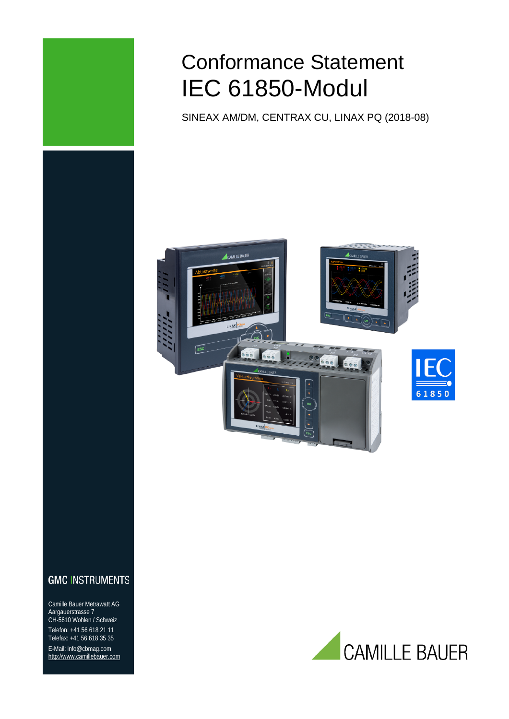

# Conformance Statement IEC 61850-Modul

SINEAX AM/DM, CENTRAX CU, LINAX PQ (2018-08)



# **GMC INSTRUMENTS**

Camille Bauer Metrawatt AG Aargauerstrasse 7 CH-5610 Wohlen / Schweiz Telefon: +41 56 618 21 11 Telefax: +41 56 618 35 35 E-Mail: info@cbmag.com [http://www.camillebauer.com](http://www.camillebauer.com/)

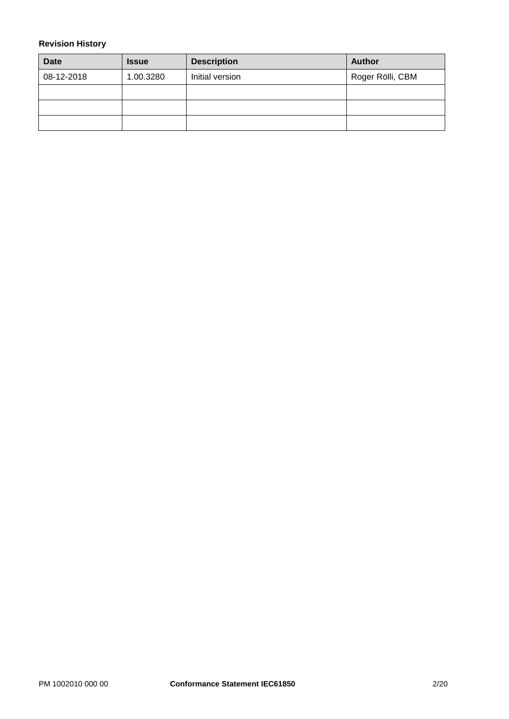#### <span id="page-1-0"></span>**Revision History**

| <b>Date</b> | <b>Issue</b> | <b>Description</b> | <b>Author</b>    |
|-------------|--------------|--------------------|------------------|
| 08-12-2018  | 1.00.3280    | Initial version    | Roger Rölli, CBM |
|             |              |                    |                  |
|             |              |                    |                  |
|             |              |                    |                  |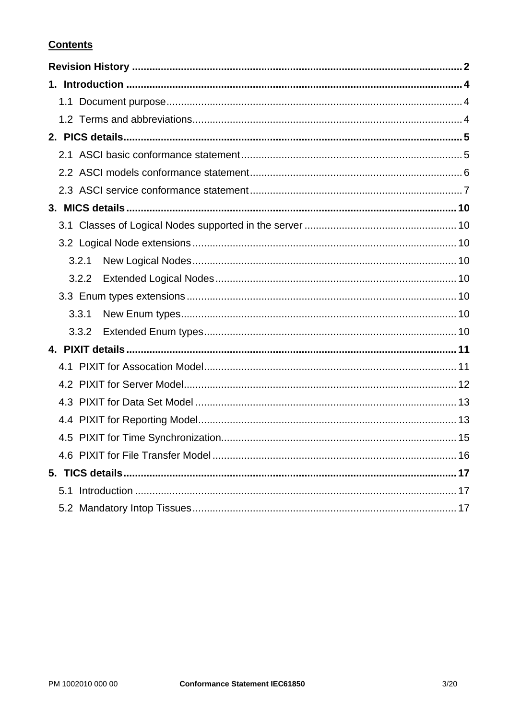# **Contents**

| 3.2.1 |  |
|-------|--|
| 3.2.2 |  |
|       |  |
| 3.3.1 |  |
| 3.3.2 |  |
|       |  |
|       |  |
|       |  |
|       |  |
|       |  |
|       |  |
|       |  |
|       |  |
|       |  |
|       |  |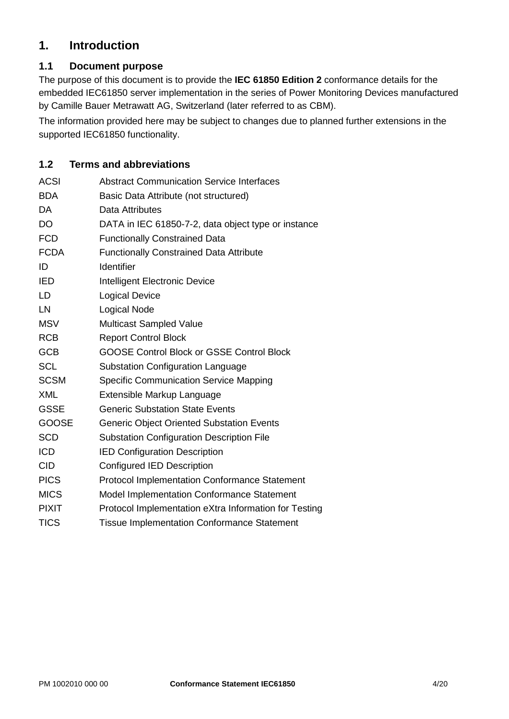# <span id="page-3-0"></span>**1. Introduction**

# <span id="page-3-1"></span>**1.1 Document purpose**

The purpose of this document is to provide the **IEC 61850 Edition 2** conformance details for the embedded IEC61850 server implementation in the series of Power Monitoring Devices manufactured by Camille Bauer Metrawatt AG, Switzerland (later referred to as CBM).

The information provided here may be subject to changes due to planned further extensions in the supported IEC61850 functionality.

## <span id="page-3-2"></span>**1.2 Terms and abbreviations**

| <b>ACSI</b>  | <b>Abstract Communication Service Interfaces</b>      |
|--------------|-------------------------------------------------------|
| <b>BDA</b>   | Basic Data Attribute (not structured)                 |
| <b>DA</b>    | Data Attributes                                       |
| <b>DO</b>    | DATA in IEC 61850-7-2, data object type or instance   |
| <b>FCD</b>   | <b>Functionally Constrained Data</b>                  |
| <b>FCDA</b>  | <b>Functionally Constrained Data Attribute</b>        |
| ID           | <b>Identifier</b>                                     |
| <b>IED</b>   | Intelligent Electronic Device                         |
| LD           | <b>Logical Device</b>                                 |
| LN           | <b>Logical Node</b>                                   |
| <b>MSV</b>   | <b>Multicast Sampled Value</b>                        |
| <b>RCB</b>   | <b>Report Control Block</b>                           |
| <b>GCB</b>   | <b>GOOSE Control Block or GSSE Control Block</b>      |
| <b>SCL</b>   | <b>Substation Configuration Language</b>              |
| <b>SCSM</b>  | <b>Specific Communication Service Mapping</b>         |
| <b>XML</b>   | Extensible Markup Language                            |
| <b>GSSE</b>  | <b>Generic Substation State Events</b>                |
| <b>GOOSE</b> | <b>Generic Object Oriented Substation Events</b>      |
| <b>SCD</b>   | <b>Substation Configuration Description File</b>      |
| <b>ICD</b>   | <b>IED Configuration Description</b>                  |
| <b>CID</b>   | <b>Configured IED Description</b>                     |
| <b>PICS</b>  | <b>Protocol Implementation Conformance Statement</b>  |
| <b>MICS</b>  | Model Implementation Conformance Statement            |
| <b>PIXIT</b> | Protocol Implementation eXtra Information for Testing |
| <b>TICS</b>  | <b>Tissue Implementation Conformance Statement</b>    |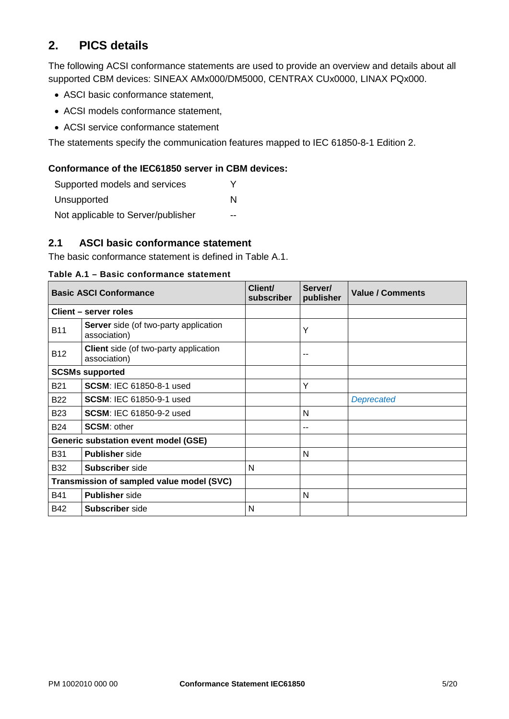# <span id="page-4-0"></span>**2. PICS details**

The following ACSI conformance statements are used to provide an overview and details about all supported CBM devices: SINEAX AMx000/DM5000, CENTRAX CUx0000, LINAX PQx000.

- ASCI basic conformance statement,
- ACSI models conformance statement,
- ACSI service conformance statement

The statements specify the communication features mapped to IEC 61850-8-1 Edition 2.

#### **Conformance of the IEC61850 server in CBM devices:**

| Supported models and services      |   |
|------------------------------------|---|
| Unsupported                        | N |
| Not applicable to Server/publisher |   |

#### <span id="page-4-1"></span>**2.1 ASCI basic conformance statement**

The basic conformance statement is defined in [Table A.1.](#page-4-3)

<span id="page-4-3"></span>**Table A.1 – Basic conformance statement**

<span id="page-4-2"></span>

|                                                                     | <b>Basic ASCI Conformance</b>                                | Client/<br>subscriber | Server/<br>publisher | <b>Value / Comments</b> |
|---------------------------------------------------------------------|--------------------------------------------------------------|-----------------------|----------------------|-------------------------|
|                                                                     | Client – server roles                                        |                       |                      |                         |
| <b>B11</b>                                                          | <b>Server</b> side (of two-party application<br>association) |                       | Υ                    |                         |
| Client side (of two-party application<br><b>B12</b><br>association) |                                                              |                       | --                   |                         |
|                                                                     | <b>SCSMs supported</b>                                       |                       |                      |                         |
| <b>B21</b>                                                          | <b>SCSM: IEC 61850-8-1 used</b>                              |                       | Y                    |                         |
| <b>B22</b>                                                          | <b>SCSM: IEC 61850-9-1 used</b>                              |                       |                      | <b>Deprecated</b>       |
| <b>B23</b>                                                          | <b>SCSM: IEC 61850-9-2 used</b>                              |                       | N                    |                         |
| <b>B24</b>                                                          | <b>SCSM: other</b>                                           |                       | --                   |                         |
|                                                                     | <b>Generic substation event model (GSE)</b>                  |                       |                      |                         |
| <b>B31</b>                                                          | <b>Publisher</b> side                                        |                       | N                    |                         |
| <b>B32</b>                                                          | <b>Subscriber</b> side                                       | N                     |                      |                         |
| Transmission of sampled value model (SVC)                           |                                                              |                       |                      |                         |
| <b>B41</b>                                                          | <b>Publisher</b> side                                        |                       | N                    |                         |
| B42                                                                 | <b>Subscriber</b> side                                       | N                     |                      |                         |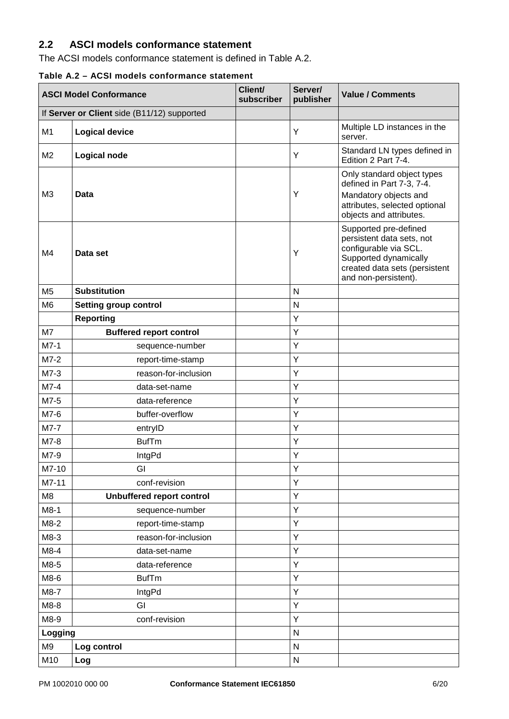# **2.2 ASCI models conformance statement**

The ACSI models conformance statement is defined in [Table A.2.](#page-5-0)

#### <span id="page-5-0"></span>**Table A.2 – ACSI models conformance statement**

| <b>ASCI Model Conformance</b> |                                             | Client/<br>subscriber | Server/<br>publisher | <b>Value / Comments</b>                                                                                                                                       |
|-------------------------------|---------------------------------------------|-----------------------|----------------------|---------------------------------------------------------------------------------------------------------------------------------------------------------------|
|                               | If Server or Client side (B11/12) supported |                       |                      |                                                                                                                                                               |
| M <sub>1</sub>                | <b>Logical device</b>                       |                       | Υ                    | Multiple LD instances in the<br>server.                                                                                                                       |
| M <sub>2</sub>                | <b>Logical node</b>                         |                       | Y                    | Standard LN types defined in<br>Edition 2 Part 7-4.                                                                                                           |
| M <sub>3</sub>                | <b>Data</b>                                 |                       | Y                    | Only standard object types<br>defined in Part 7-3, 7-4.<br>Mandatory objects and<br>attributes, selected optional<br>objects and attributes.                  |
| M4                            | Data set                                    |                       | Y                    | Supported pre-defined<br>persistent data sets, not<br>configurable via SCL.<br>Supported dynamically<br>created data sets (persistent<br>and non-persistent). |
| M <sub>5</sub>                | <b>Substitution</b>                         |                       | $\mathsf{N}$         |                                                                                                                                                               |
| M <sub>6</sub>                | <b>Setting group control</b>                |                       | N                    |                                                                                                                                                               |
|                               | <b>Reporting</b>                            |                       | Υ                    |                                                                                                                                                               |
| M7                            | <b>Buffered report control</b>              |                       | Υ                    |                                                                                                                                                               |
| $M7-1$                        | sequence-number                             |                       | Υ                    |                                                                                                                                                               |
| $M7-2$                        | report-time-stamp                           |                       | Υ                    |                                                                                                                                                               |
| $M7-3$                        | reason-for-inclusion                        |                       | Υ                    |                                                                                                                                                               |
| $M7-4$                        | data-set-name                               |                       | Υ                    |                                                                                                                                                               |
| M7-5                          | data-reference                              |                       | Y                    |                                                                                                                                                               |
| M7-6                          | buffer-overflow                             |                       | Υ                    |                                                                                                                                                               |
| M7-7                          | entryID                                     |                       | Υ                    |                                                                                                                                                               |
| M7-8                          | <b>BufTm</b>                                |                       | Υ                    |                                                                                                                                                               |
| M7-9                          | IntgPd                                      |                       | Υ                    |                                                                                                                                                               |
| M7-10                         | GI                                          |                       | Υ                    |                                                                                                                                                               |
| M7-11                         | conf-revision                               |                       | Y                    |                                                                                                                                                               |
| M <sub>8</sub>                | <b>Unbuffered report control</b>            |                       | Υ                    |                                                                                                                                                               |
| $M8-1$                        | sequence-number                             |                       | Υ                    |                                                                                                                                                               |
| $M8-2$                        | report-time-stamp                           |                       | Y                    |                                                                                                                                                               |
| $M8-3$                        | reason-for-inclusion                        |                       | Υ                    |                                                                                                                                                               |
| M8-4                          | data-set-name                               |                       | Υ                    |                                                                                                                                                               |
| M8-5                          | data-reference                              |                       | Y                    |                                                                                                                                                               |
| M8-6                          | <b>BufTm</b>                                |                       | Υ                    |                                                                                                                                                               |
| M8-7                          | <b>IntgPd</b>                               |                       | Υ                    |                                                                                                                                                               |
| M8-8                          | GI                                          |                       | Y                    |                                                                                                                                                               |
| M8-9                          | conf-revision                               |                       | Υ                    |                                                                                                                                                               |
| Logging                       |                                             |                       | ${\sf N}$            |                                                                                                                                                               |
| M9                            | Log control                                 |                       | $\mathsf{N}$         |                                                                                                                                                               |
| M10                           | Log                                         |                       | ${\sf N}$            |                                                                                                                                                               |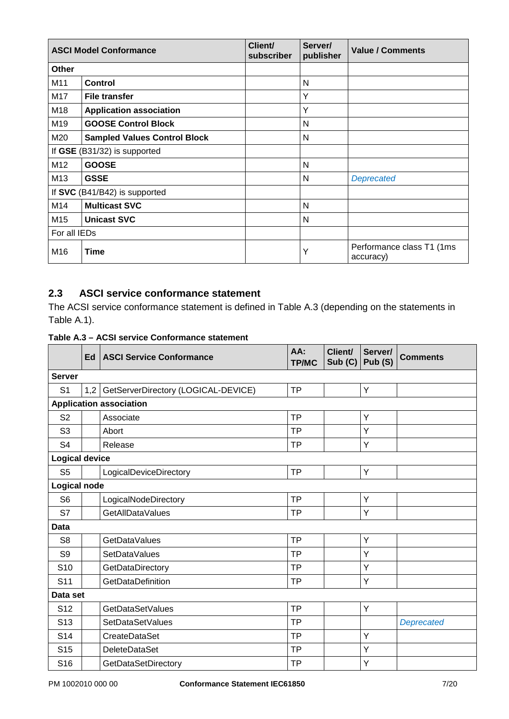|                              | <b>ASCI Model Conformance</b>       | Client/<br>subscriber | Server/<br>publisher | <b>Value / Comments</b>                 |
|------------------------------|-------------------------------------|-----------------------|----------------------|-----------------------------------------|
| Other                        |                                     |                       |                      |                                         |
| M11                          | <b>Control</b>                      |                       | N                    |                                         |
| M17                          | <b>File transfer</b>                |                       | Υ                    |                                         |
| M18                          | <b>Application association</b>      |                       | Υ                    |                                         |
| M19                          | <b>GOOSE Control Block</b>          |                       | N                    |                                         |
| M20                          | <b>Sampled Values Control Block</b> |                       | N                    |                                         |
| If GSE (B31/32) is supported |                                     |                       |                      |                                         |
| M12                          | <b>GOOSE</b>                        |                       | N                    |                                         |
| M13                          | <b>GSSE</b>                         |                       | N                    | Deprecated                              |
|                              | If SVC (B41/B42) is supported       |                       |                      |                                         |
| M14                          | <b>Multicast SVC</b>                |                       | N                    |                                         |
| M15                          | <b>Unicast SVC</b>                  |                       | N                    |                                         |
| For all IEDs                 |                                     |                       |                      |                                         |
| M16                          | <b>Time</b>                         |                       | Υ                    | Performance class T1 (1ms)<br>accuracy) |

# <span id="page-6-0"></span>**2.3 ASCI service conformance statement**

The ACSI service conformance statement is defined in [Table A.3](#page-6-1) (depending on the statements in [Table A.1\)](#page-4-3).

<span id="page-6-1"></span>

| Table A.3 - ACSI service Conformance statement |  |  |  |
|------------------------------------------------|--|--|--|
|------------------------------------------------|--|--|--|

|                       | Ed  | <b>ASCI Service Conformance</b>     | AA:<br><b>TP/MC</b> | Client/<br>Sub (C) | Server/<br>Pub (S) | <b>Comments</b>   |
|-----------------------|-----|-------------------------------------|---------------------|--------------------|--------------------|-------------------|
| <b>Server</b>         |     |                                     |                     |                    |                    |                   |
| S <sub>1</sub>        | 1,2 | GetServerDirectory (LOGICAL-DEVICE) | <b>TP</b>           |                    | Y                  |                   |
|                       |     | <b>Application association</b>      |                     |                    |                    |                   |
| S <sub>2</sub>        |     | Associate                           | <b>TP</b>           |                    | Y                  |                   |
| S <sub>3</sub>        |     | Abort                               | <b>TP</b>           |                    | Y                  |                   |
| S <sub>4</sub>        |     | Release                             | <b>TP</b>           |                    | Υ                  |                   |
| <b>Logical device</b> |     |                                     |                     |                    |                    |                   |
| S <sub>5</sub>        |     | LogicalDeviceDirectory              | <b>TP</b>           |                    | Y                  |                   |
| <b>Logical node</b>   |     |                                     |                     |                    |                    |                   |
| S <sub>6</sub>        |     | LogicalNodeDirectory                | <b>TP</b>           |                    | Y                  |                   |
| S7                    |     | GetAllDataValues                    | <b>TP</b>           |                    | Y                  |                   |
| Data                  |     |                                     |                     |                    |                    |                   |
| S <sub>8</sub>        |     | <b>GetDataValues</b>                | <b>TP</b>           |                    | Υ                  |                   |
| S <sub>9</sub>        |     | <b>SetDataValues</b>                | <b>TP</b>           |                    | Y                  |                   |
| S <sub>10</sub>       |     | GetDataDirectory                    | <b>TP</b>           |                    | Υ                  |                   |
| S <sub>11</sub>       |     | GetDataDefinition                   | <b>TP</b>           |                    | Υ                  |                   |
| Data set              |     |                                     |                     |                    |                    |                   |
| S <sub>12</sub>       |     | GetDataSetValues                    | <b>TP</b>           |                    | Y                  |                   |
| S <sub>13</sub>       |     | SetDataSetValues                    | <b>TP</b>           |                    |                    | <b>Deprecated</b> |
| S <sub>14</sub>       |     | CreateDataSet                       | <b>TP</b>           |                    | Υ                  |                   |
| S <sub>15</sub>       |     | DeleteDataSet                       | <b>TP</b>           |                    | Y                  |                   |
| S <sub>16</sub>       |     | GetDataSetDirectory                 | <b>TP</b>           |                    | Υ                  |                   |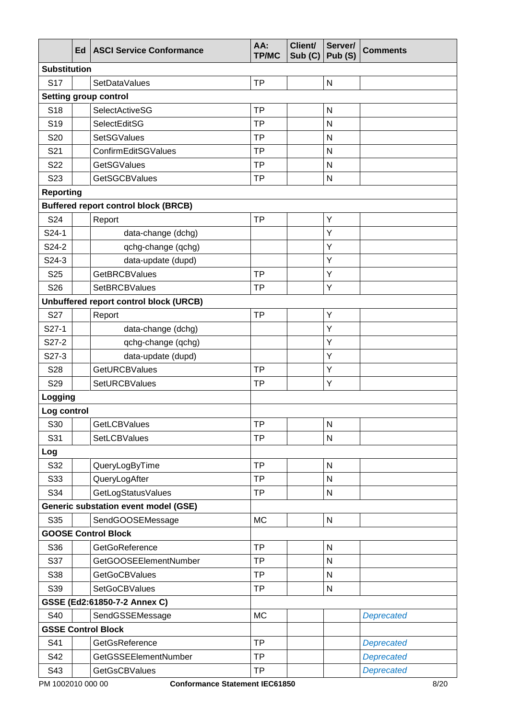|                     | Ed | <b>ASCI Service Conformance</b>             | AA:<br><b>TP/MC</b> | Client/<br>Sub(C) | Server/<br>Pub (S)      | <b>Comments</b>   |
|---------------------|----|---------------------------------------------|---------------------|-------------------|-------------------------|-------------------|
| <b>Substitution</b> |    |                                             |                     |                   |                         |                   |
| <b>S17</b>          |    | SetDataValues                               | <b>TP</b>           |                   | $\mathsf{N}$            |                   |
|                     |    | Setting group control                       |                     |                   |                         |                   |
| S <sub>18</sub>     |    | SelectActiveSG                              | <b>TP</b>           |                   | N                       |                   |
| S <sub>19</sub>     |    | SelectEditSG                                | <b>TP</b>           |                   | N                       |                   |
| S20                 |    | <b>SetSGValues</b>                          | <b>TP</b>           |                   | $\mathsf{N}$            |                   |
| S <sub>21</sub>     |    | ConfirmEditSGValues                         | <b>TP</b>           |                   | $\mathsf{N}$            |                   |
| S22                 |    | <b>GetSGValues</b>                          | <b>TP</b>           |                   | N                       |                   |
| S <sub>23</sub>     |    | <b>GetSGCBValues</b>                        | <b>TP</b>           |                   | ${\sf N}$               |                   |
| <b>Reporting</b>    |    |                                             |                     |                   |                         |                   |
|                     |    | <b>Buffered report control block (BRCB)</b> |                     |                   |                         |                   |
| S24                 |    | Report                                      | <b>TP</b>           |                   | Υ                       |                   |
| S24-1               |    | data-change (dchg)                          |                     |                   | Y                       |                   |
| S24-2               |    | qchg-change (qchg)                          |                     |                   | Υ                       |                   |
| S24-3               |    | data-update (dupd)                          |                     |                   | Υ                       |                   |
| S <sub>25</sub>     |    | <b>GetBRCBValues</b>                        | <b>TP</b>           |                   | Υ                       |                   |
| S26                 |    | SetBRCBValues                               | <b>TP</b>           |                   | Υ                       |                   |
|                     |    | Unbuffered report control block (URCB)      |                     |                   |                         |                   |
| S27                 |    | Report                                      | <b>TP</b>           |                   | Υ                       |                   |
| S27-1               |    | data-change (dchg)                          |                     |                   | Υ                       |                   |
| S27-2               |    | qchg-change (qchg)                          |                     |                   | Υ                       |                   |
| S27-3               |    | data-update (dupd)                          |                     |                   | Υ                       |                   |
| S28                 |    | <b>GetURCBValues</b>                        | <b>TP</b>           |                   | Υ                       |                   |
| S29                 |    | SetURCBValues                               | <b>TP</b>           |                   | Υ                       |                   |
| Logging             |    |                                             |                     |                   |                         |                   |
| Log control         |    |                                             |                     |                   |                         |                   |
| S30                 |    | GetLCBValues                                | TΡ                  |                   | $\overline{\mathsf{N}}$ |                   |
| S31                 |    | SetLCBValues                                | <b>TP</b>           |                   | $\mathsf{N}$            |                   |
| Log                 |    |                                             |                     |                   |                         |                   |
| S32                 |    | QueryLogByTime                              | <b>TP</b>           |                   | ${\sf N}$               |                   |
| S33                 |    | QueryLogAfter                               | <b>TP</b>           |                   | $\mathsf{N}$            |                   |
| S34                 |    | GetLogStatusValues                          | <b>TP</b>           |                   | ${\sf N}$               |                   |
|                     |    | <b>Generic substation event model (GSE)</b> |                     |                   |                         |                   |
| S35                 |    | SendGOOSEMessage                            | <b>MC</b>           |                   | ${\sf N}$               |                   |
|                     |    | <b>GOOSE Control Block</b>                  |                     |                   |                         |                   |
| S36                 |    | GetGoReference                              | <b>TP</b>           |                   | ${\sf N}$               |                   |
| S37                 |    | GetGOOSEElementNumber                       | <b>TP</b>           |                   | $\mathsf{N}$            |                   |
| S38                 |    | <b>GetGoCBValues</b>                        | <b>TP</b>           |                   | ${\sf N}$               |                   |
| S39                 |    | <b>SetGoCBValues</b>                        | <b>TP</b>           |                   | ${\sf N}$               |                   |
|                     |    | GSSE (Ed2:61850-7-2 Annex C)                |                     |                   |                         |                   |
| S40                 |    | SendGSSEMessage                             | <b>MC</b>           |                   |                         | <b>Deprecated</b> |
|                     |    | <b>GSSE Control Block</b>                   |                     |                   |                         |                   |
| S41                 |    | GetGsReference                              | <b>TP</b>           |                   |                         | <b>Deprecated</b> |
| S42                 |    | GetGSSEElementNumber                        | <b>TP</b>           |                   |                         | <b>Deprecated</b> |
| S43                 |    | <b>GetGsCBValues</b>                        | <b>TP</b>           |                   |                         | <b>Deprecated</b> |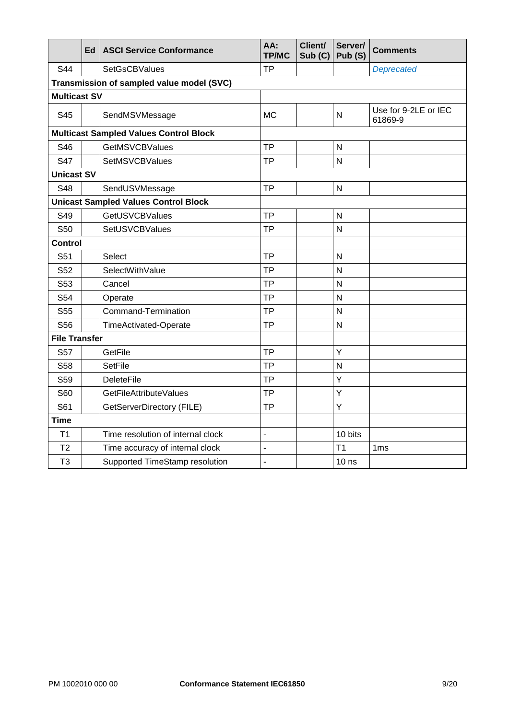|                      | Ed | <b>ASCI Service Conformance</b>               | AA:<br><b>TP/MC</b>      | Client/<br>Sub(G) | Server/<br>Pub (S) | <b>Comments</b>                 |
|----------------------|----|-----------------------------------------------|--------------------------|-------------------|--------------------|---------------------------------|
| S44                  |    | <b>SetGsCBValues</b>                          | <b>TP</b>                |                   |                    | <b>Deprecated</b>               |
|                      |    | Transmission of sampled value model (SVC)     |                          |                   |                    |                                 |
| <b>Multicast SV</b>  |    |                                               |                          |                   |                    |                                 |
| S45                  |    | SendMSVMessage                                | МC                       |                   | N                  | Use for 9-2LE or IEC<br>61869-9 |
|                      |    | <b>Multicast Sampled Values Control Block</b> |                          |                   |                    |                                 |
| S46                  |    | <b>GetMSVCBValues</b>                         | <b>TP</b>                |                   | $\mathsf{N}$       |                                 |
| <b>S47</b>           |    | SetMSVCBValues                                | <b>TP</b>                |                   | N                  |                                 |
| <b>Unicast SV</b>    |    |                                               |                          |                   |                    |                                 |
| S48                  |    | SendUSVMessage                                | <b>TP</b>                |                   | N                  |                                 |
|                      |    | <b>Unicast Sampled Values Control Block</b>   |                          |                   |                    |                                 |
| S49                  |    | <b>GetUSVCBValues</b>                         | <b>TP</b>                |                   | $\mathsf{N}$       |                                 |
| S <sub>50</sub>      |    | SetUSVCBValues                                | <b>TP</b>                |                   | $\mathsf{N}$       |                                 |
| <b>Control</b>       |    |                                               |                          |                   |                    |                                 |
| S51                  |    | Select                                        | <b>TP</b>                |                   | N                  |                                 |
| S <sub>52</sub>      |    | SelectWithValue                               | <b>TP</b>                |                   | $\mathsf{N}$       |                                 |
| S53                  |    | Cancel                                        | <b>TP</b>                |                   | $\mathsf{N}$       |                                 |
| S54                  |    | Operate                                       | <b>TP</b>                |                   | N                  |                                 |
| S55                  |    | Command-Termination                           | <b>TP</b>                |                   | $\mathsf{N}$       |                                 |
| S56                  |    | <b>TimeActivated-Operate</b>                  | <b>TP</b>                |                   | N                  |                                 |
| <b>File Transfer</b> |    |                                               |                          |                   |                    |                                 |
| <b>S57</b>           |    | GetFile                                       | <b>TP</b>                |                   | Υ                  |                                 |
| S58                  |    | <b>SetFile</b>                                | <b>TP</b>                |                   | N                  |                                 |
| S59                  |    | <b>DeleteFile</b>                             | <b>TP</b>                |                   | Υ                  |                                 |
| S60                  |    | GetFileAttributeValues                        | <b>TP</b>                |                   | Y                  |                                 |
| S61                  |    | GetServerDirectory (FILE)                     | <b>TP</b>                |                   | Υ                  |                                 |
| <b>Time</b>          |    |                                               |                          |                   |                    |                                 |
| T <sub>1</sub>       |    | Time resolution of internal clock             | $\overline{\phantom{a}}$ |                   | 10 bits            |                                 |
| T <sub>2</sub>       |    | Time accuracy of internal clock               | L.                       |                   | T1                 | 1 <sub>ms</sub>                 |
| T <sub>3</sub>       |    | Supported TimeStamp resolution                | $\overline{a}$           |                   | 10 <sub>ns</sub>   |                                 |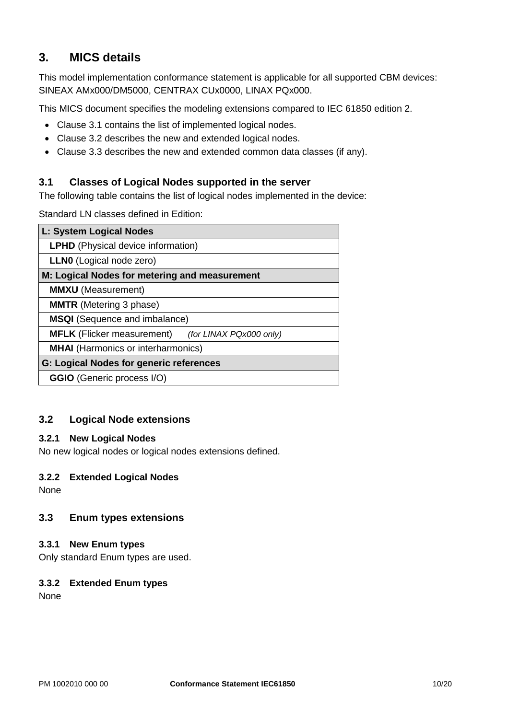# <span id="page-9-0"></span>**3. MICS details**

This model implementation conformance statement is applicable for all supported CBM devices: SINEAX AMx000/DM5000, CENTRAX CUx0000, LINAX PQx000.

This MICS document specifies the modeling extensions compared to IEC 61850 edition 2.

- Clause 3.1 contains the list of implemented logical nodes.
- Clause 3.2 describes the new and extended logical nodes.
- Clause 3.3 describes the new and extended common data classes (if any).

#### <span id="page-9-1"></span>**3.1 Classes of Logical Nodes supported in the server**

The following table contains the list of logical nodes implemented in the device:

Standard LN classes defined in Edition:

| L: System Logical Nodes                                      |
|--------------------------------------------------------------|
| <b>LPHD</b> (Physical device information)                    |
| <b>LLNO</b> (Logical node zero)                              |
| M: Logical Nodes for metering and measurement                |
| <b>MMXU</b> (Measurement)                                    |
| <b>MMTR</b> (Metering 3 phase)                               |
| <b>MSQI</b> (Sequence and imbalance)                         |
| <b>MFLK</b> (Flicker measurement)<br>(for LINAX PQx000 only) |
| <b>MHAI</b> (Harmonics or interharmonics)                    |
| <b>G: Logical Nodes for generic references</b>               |
| <b>GGIO</b> (Generic process I/O)                            |

#### <span id="page-9-2"></span>**3.2 Logical Node extensions**

#### <span id="page-9-3"></span>**3.2.1 New Logical Nodes**

No new logical nodes or logical nodes extensions defined.

#### <span id="page-9-4"></span>**3.2.2 Extended Logical Nodes**

None

#### <span id="page-9-5"></span>**3.3 Enum types extensions**

#### <span id="page-9-6"></span>**3.3.1 New Enum types**

Only standard Enum types are used.

#### <span id="page-9-7"></span>**3.3.2 Extended Enum types**

None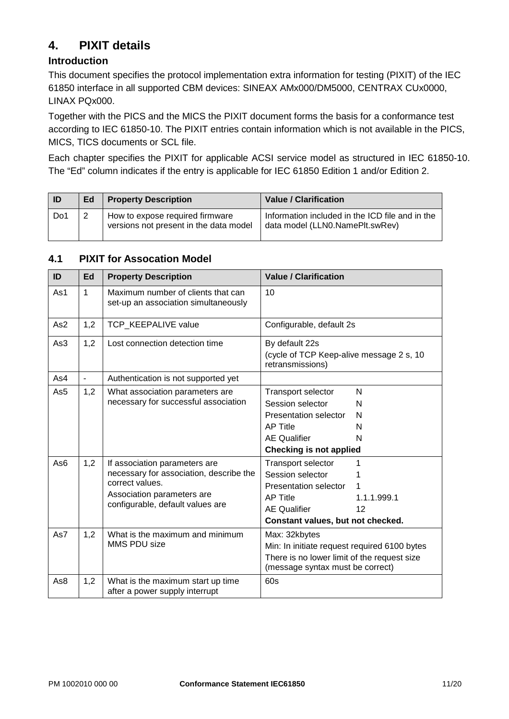# <span id="page-10-0"></span>**4. PIXIT details**

## **Introduction**

This document specifies the protocol implementation extra information for testing (PIXIT) of the IEC 61850 interface in all supported CBM devices: SINEAX AMx000/DM5000, CENTRAX CUx0000, LINAX PQx000.

Together with the PICS and the MICS the PIXIT document forms the basis for a conformance test according to IEC 61850-10. The PIXIT entries contain information which is not available in the PICS, MICS, TICS documents or SCL file.

Each chapter specifies the PIXIT for applicable ACSI service model as structured in IEC 61850-10. The "Ed" column indicates if the entry is applicable for IEC 61850 Edition 1 and/or Edition 2.

| ID  | Ed | <b>Property Description</b>                                               | <b>Value / Clarification</b>                                                       |
|-----|----|---------------------------------------------------------------------------|------------------------------------------------------------------------------------|
| Do1 |    | How to expose required firmware<br>versions not present in the data model | Information included in the ICD file and in the<br>data model (LLN0.NamePlt.swRev) |

## <span id="page-10-1"></span>**4.1 PIXIT for Assocation Model**

<span id="page-10-2"></span>

| ID                     | Ed           | <b>Property Description</b>                                                                                                                                                                                                              | <b>Value / Clarification</b>                                                                                                                                                                                                                                                                                  |
|------------------------|--------------|------------------------------------------------------------------------------------------------------------------------------------------------------------------------------------------------------------------------------------------|---------------------------------------------------------------------------------------------------------------------------------------------------------------------------------------------------------------------------------------------------------------------------------------------------------------|
| As1                    | $\mathbf{1}$ | Maximum number of clients that can<br>set-up an association simultaneously                                                                                                                                                               | 10                                                                                                                                                                                                                                                                                                            |
| As <sub>2</sub>        | 1,2          | <b>TCP KEEPALIVE value</b>                                                                                                                                                                                                               | Configurable, default 2s                                                                                                                                                                                                                                                                                      |
| As3                    | 1,2          | Lost connection detection time                                                                                                                                                                                                           | By default 22s<br>(cycle of TCP Keep-alive message 2 s, 10<br>retransmissions)                                                                                                                                                                                                                                |
| As4                    | ÷,           | Authentication is not supported yet                                                                                                                                                                                                      |                                                                                                                                                                                                                                                                                                               |
| As5<br>As <sub>6</sub> | 1,2<br>1,2   | What association parameters are<br>necessary for successful association<br>If association parameters are<br>necessary for association, describe the<br>correct values.<br>Association parameters are<br>configurable, default values are | N<br>Transport selector<br>Session selector<br>N<br>Presentation selector<br>N<br><b>AP Title</b><br>N<br><b>AE Qualifier</b><br>N<br><b>Checking is not applied</b><br>Transport selector<br>Session selector<br><b>Presentation selector</b><br><b>AP Title</b><br>1.1.1.999.1<br><b>AE Qualifier</b><br>12 |
|                        |              |                                                                                                                                                                                                                                          | Constant values, but not checked.                                                                                                                                                                                                                                                                             |
| As7                    | 1,2          | What is the maximum and minimum<br>MMS PDU size                                                                                                                                                                                          | Max: 32kbytes<br>Min: In initiate request required 6100 bytes<br>There is no lower limit of the request size<br>(message syntax must be correct)                                                                                                                                                              |
| As8                    | 1,2          | What is the maximum start up time<br>after a power supply interrupt                                                                                                                                                                      | 60s                                                                                                                                                                                                                                                                                                           |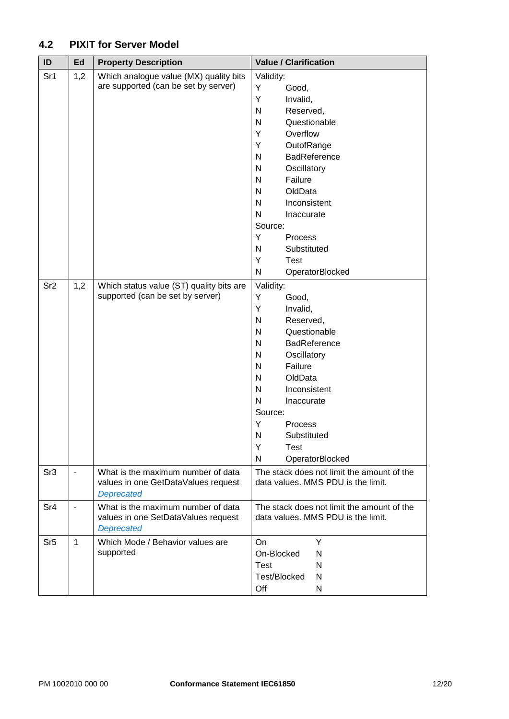# **4.2 PIXIT for Server Model**

<span id="page-11-0"></span>

| ID              | Ed                       | <b>Property Description</b>              | <b>Value / Clarification</b>                    |
|-----------------|--------------------------|------------------------------------------|-------------------------------------------------|
| Sr1             | 1,2                      | Which analogue value (MX) quality bits   | Validity:                                       |
|                 |                          | are supported (can be set by server)     | Υ<br>Good,                                      |
|                 |                          |                                          | Υ<br>Invalid,                                   |
|                 |                          |                                          | N<br>Reserved,                                  |
|                 |                          |                                          | $\mathsf{N}$<br>Questionable                    |
|                 |                          |                                          | Overflow<br>Υ                                   |
|                 |                          |                                          | Υ<br>OutofRange                                 |
|                 |                          |                                          | <b>BadReference</b><br>N                        |
|                 |                          |                                          | Oscillatory<br>N                                |
|                 |                          |                                          | Failure<br>N                                    |
|                 |                          |                                          | OldData<br>$\mathsf{N}$                         |
|                 |                          |                                          | $\mathsf{N}$<br>Inconsistent                    |
|                 |                          |                                          | N<br>Inaccurate                                 |
|                 |                          |                                          | Source:                                         |
|                 |                          |                                          | Y<br>Process                                    |
|                 |                          |                                          | $\mathsf{N}$<br>Substituted                     |
|                 |                          |                                          | Υ<br><b>Test</b>                                |
|                 |                          |                                          | ${\sf N}$<br>OperatorBlocked                    |
| Sr <sub>2</sub> | 1,2                      | Which status value (ST) quality bits are | Validity:                                       |
|                 |                          | supported (can be set by server)         | Y<br>Good,                                      |
|                 |                          |                                          | Υ<br>Invalid,                                   |
|                 |                          |                                          | ${\sf N}$<br>Reserved,                          |
|                 |                          |                                          | $\mathsf{N}$<br>Questionable                    |
|                 |                          |                                          | <b>BadReference</b><br>N                        |
|                 |                          |                                          | $\mathsf{N}$<br>Oscillatory                     |
|                 |                          |                                          | Failure<br>N                                    |
|                 |                          |                                          | $\mathsf{N}$<br>OldData                         |
|                 |                          |                                          | N<br>Inconsistent<br>$\mathsf{N}$<br>Inaccurate |
|                 |                          |                                          | Source:                                         |
|                 |                          |                                          | Υ<br>Process                                    |
|                 |                          |                                          | N<br>Substituted                                |
|                 |                          |                                          | Y<br>Test                                       |
|                 |                          |                                          | N<br>OperatorBlocked                            |
| Sr <sub>3</sub> | $\overline{\phantom{a}}$ | What is the maximum number of data       | The stack does not limit the amount of the      |
|                 |                          | values in one GetDataValues request      | data values. MMS PDU is the limit.              |
|                 |                          | <b>Deprecated</b>                        |                                                 |
| Sr4             | $\blacksquare$           | What is the maximum number of data       | The stack does not limit the amount of the      |
|                 |                          | values in one SetDataValues request      | data values. MMS PDU is the limit.              |
|                 |                          | <b>Deprecated</b>                        |                                                 |
| Sr <sub>5</sub> | 1                        | Which Mode / Behavior values are         | On<br>Y                                         |
|                 |                          | supported                                | On-Blocked<br>N                                 |
|                 |                          |                                          | <b>Test</b><br>N                                |
|                 |                          |                                          | Test/Blocked<br>N                               |
|                 |                          |                                          | Off<br>N                                        |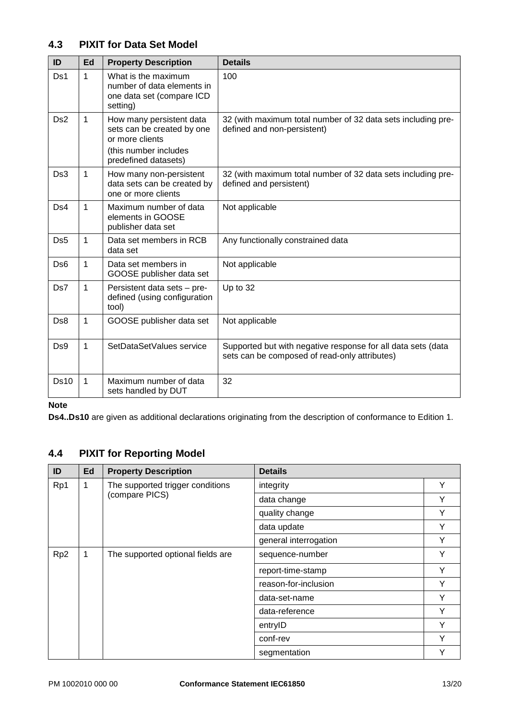## **4.3 PIXIT for Data Set Model**

| ID              | Ed           | <b>Property Description</b>                                                                                                | <b>Details</b>                                                                                                |
|-----------------|--------------|----------------------------------------------------------------------------------------------------------------------------|---------------------------------------------------------------------------------------------------------------|
| Ds1             | $\mathbf{1}$ | What is the maximum<br>number of data elements in<br>one data set (compare ICD<br>setting)                                 | 100                                                                                                           |
| Ds <sub>2</sub> | $\mathbf{1}$ | How many persistent data<br>sets can be created by one<br>or more clients<br>(this number includes<br>predefined datasets) | 32 (with maximum total number of 32 data sets including pre-<br>defined and non-persistent)                   |
| Ds3             | 1            | How many non-persistent<br>data sets can be created by<br>one or more clients                                              | 32 (with maximum total number of 32 data sets including pre-<br>defined and persistent)                       |
| Ds4             | $\mathbf{1}$ | Maximum number of data<br>elements in GOOSE<br>publisher data set                                                          | Not applicable                                                                                                |
| Ds <sub>5</sub> | 1            | Data set members in RCB<br>data set                                                                                        | Any functionally constrained data                                                                             |
| Ds <sub>6</sub> | 1            | Data set members in<br>GOOSE publisher data set                                                                            | Not applicable                                                                                                |
| Ds7             | $\mathbf{1}$ | Persistent data sets - pre-<br>defined (using configuration<br>tool)                                                       | Up to 32                                                                                                      |
| Ds8             | $\mathbf{1}$ | GOOSE publisher data set                                                                                                   | Not applicable                                                                                                |
| Ds9             | 1            | SetDataSetValues service                                                                                                   | Supported but with negative response for all data sets (data<br>sets can be composed of read-only attributes) |
| <b>Ds10</b>     | 1            | Maximum number of data<br>sets handled by DUT                                                                              | 32                                                                                                            |

#### **Note**

**Ds4..Ds10** are given as additional declarations originating from the description of conformance to Edition 1.

# <span id="page-12-0"></span>**4.4 PIXIT for Reporting Model**

| ID              | Ed | <b>Property Description</b>                        | <b>Details</b>        |   |
|-----------------|----|----------------------------------------------------|-----------------------|---|
| Rp1             | 1  | The supported trigger conditions<br>(compare PICS) | integrity             | Y |
|                 |    |                                                    | data change           | Y |
|                 |    |                                                    | quality change        | Y |
|                 |    |                                                    | data update           | Υ |
|                 |    |                                                    | general interrogation | Υ |
| Rp <sub>2</sub> | 1  | The supported optional fields are                  | sequence-number       | Y |
|                 |    |                                                    | report-time-stamp     | Y |
|                 |    |                                                    | reason-for-inclusion  | Υ |
|                 |    |                                                    | data-set-name         | Υ |
|                 |    |                                                    | data-reference        | Υ |
|                 |    |                                                    | entryID               | Y |
|                 |    |                                                    | conf-rev              | Υ |
|                 |    |                                                    | segmentation          | Υ |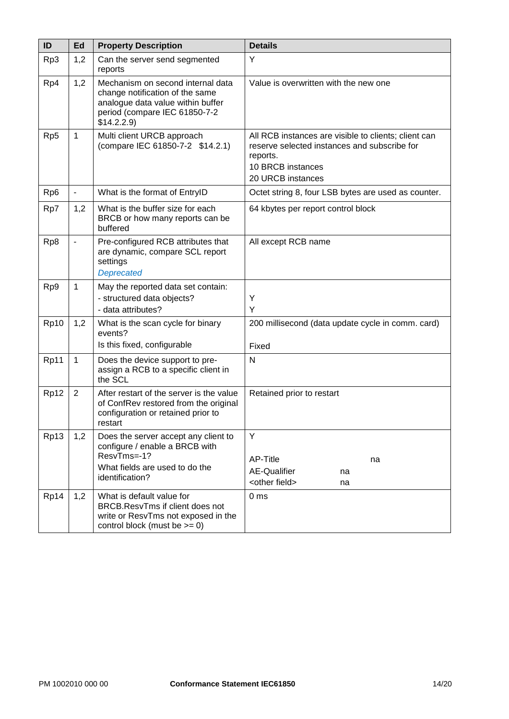<span id="page-13-0"></span>

| ID              | Ed             | <b>Property Description</b>                                                                                                                              | <b>Details</b>                                                                                                                                             |
|-----------------|----------------|----------------------------------------------------------------------------------------------------------------------------------------------------------|------------------------------------------------------------------------------------------------------------------------------------------------------------|
| Rp3             | 1,2            | Can the server send segmented<br>reports                                                                                                                 | Y                                                                                                                                                          |
| Rp4             | 1,2            | Mechanism on second internal data<br>change notification of the same<br>analogue data value within buffer<br>period (compare IEC 61850-7-2<br>\$14.2.2.9 | Value is overwritten with the new one                                                                                                                      |
| Rp5             | $\mathbf{1}$   | Multi client URCB approach<br>(compare IEC 61850-7-2 \$14.2.1)                                                                                           | All RCB instances are visible to clients; client can<br>reserve selected instances and subscribe for<br>reports.<br>10 BRCB instances<br>20 URCB instances |
| Rp <sub>6</sub> | $\blacksquare$ | What is the format of EntryID                                                                                                                            | Octet string 8, four LSB bytes are used as counter.                                                                                                        |
| Rp7             | 1,2            | What is the buffer size for each<br>BRCB or how many reports can be<br>buffered                                                                          | 64 kbytes per report control block                                                                                                                         |
| Rp8             |                | Pre-configured RCB attributes that<br>are dynamic, compare SCL report<br>settings<br><b>Deprecated</b>                                                   | All except RCB name                                                                                                                                        |
| Rp9             | $\mathbf{1}$   | May the reported data set contain:<br>- structured data objects?<br>- data attributes?                                                                   | Υ<br>Y                                                                                                                                                     |
| Rp10            | 1,2            | What is the scan cycle for binary<br>events?<br>Is this fixed, configurable                                                                              | 200 millisecond (data update cycle in comm. card)<br>Fixed                                                                                                 |
| Rp11            | $\mathbf{1}$   | Does the device support to pre-<br>assign a RCB to a specific client in<br>the SCL                                                                       | N                                                                                                                                                          |
| Rp12            | 2              | After restart of the server is the value<br>of ConfRev restored from the original<br>configuration or retained prior to<br>restart                       | Retained prior to restart                                                                                                                                  |
| Rp13            | 1,2            | Does the server accept any client to<br>configure / enable a BRCB with<br>ResvTms=-1?<br>What fields are used to do the<br>identification?               | Y<br>AP-Title<br>na<br><b>AE-Qualifier</b><br>na<br><other field=""><br/>na</other>                                                                        |
| Rp14            | 1,2            | What is default value for<br>BRCB.ResvTms if client does not<br>write or ResvTms not exposed in the<br>control block (must be $>= 0$ )                   | 0 <sub>ms</sub>                                                                                                                                            |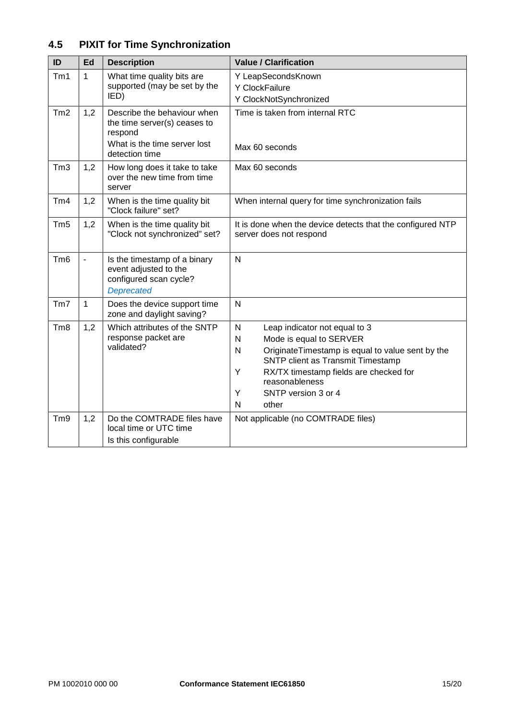# **4.5 PIXIT for Time Synchronization**

<span id="page-14-0"></span>

| ID              | Ed  | <b>Description</b>                                                                                                       | <b>Value / Clarification</b>                                                                                                                                                                                                                                                           |  |
|-----------------|-----|--------------------------------------------------------------------------------------------------------------------------|----------------------------------------------------------------------------------------------------------------------------------------------------------------------------------------------------------------------------------------------------------------------------------------|--|
| Tm1             | 1   | What time quality bits are<br>supported (may be set by the<br>IED)                                                       | Y LeapSecondsKnown<br>Y ClockFailure<br>Y ClockNotSynchronized                                                                                                                                                                                                                         |  |
| Tm2             | 1,2 | Describe the behaviour when<br>the time server(s) ceases to<br>respond<br>What is the time server lost<br>detection time | Time is taken from internal RTC<br>Max 60 seconds                                                                                                                                                                                                                                      |  |
| Tm3             | 1,2 | How long does it take to take<br>over the new time from time<br>server                                                   | Max 60 seconds                                                                                                                                                                                                                                                                         |  |
| Tm4             | 1,2 | When is the time quality bit<br>"Clock failure" set?                                                                     | When internal query for time synchronization fails                                                                                                                                                                                                                                     |  |
| Tm <sub>5</sub> | 1,2 | When is the time quality bit<br>"Clock not synchronized" set?                                                            | It is done when the device detects that the configured NTP<br>server does not respond                                                                                                                                                                                                  |  |
| Tm <sub>6</sub> |     | Is the timestamp of a binary<br>event adjusted to the<br>configured scan cycle?<br><b>Deprecated</b>                     | N                                                                                                                                                                                                                                                                                      |  |
| Tm              | 1   | Does the device support time<br>zone and daylight saving?                                                                | N                                                                                                                                                                                                                                                                                      |  |
| Tm <sub>8</sub> | 1,2 | Which attributes of the SNTP<br>response packet are<br>validated?                                                        | $\mathsf{N}$<br>Leap indicator not equal to 3<br>Mode is equal to SERVER<br>N<br>OriginateTimestamp is equal to value sent by the<br>N<br>SNTP client as Transmit Timestamp<br>Y<br>RX/TX timestamp fields are checked for<br>reasonableness<br>Y<br>SNTP version 3 or 4<br>N<br>other |  |
| Tm <sub>9</sub> | 1,2 | Do the COMTRADE files have<br>local time or UTC time<br>Is this configurable                                             | Not applicable (no COMTRADE files)                                                                                                                                                                                                                                                     |  |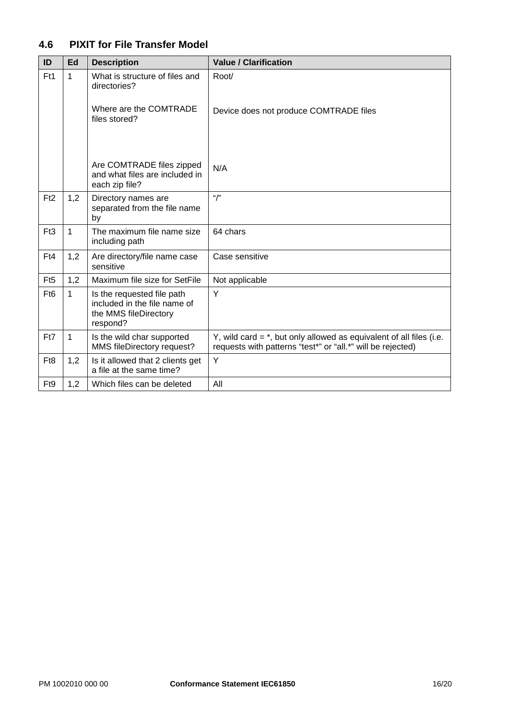# **4.6 PIXIT for File Transfer Model**

<span id="page-15-0"></span>

| ID               | Ed  | <b>Description</b>                                                                              | <b>Value / Clarification</b>                                                                                                         |
|------------------|-----|-------------------------------------------------------------------------------------------------|--------------------------------------------------------------------------------------------------------------------------------------|
| Ft1              | 1   | What is structure of files and<br>directories?                                                  | Root/                                                                                                                                |
|                  |     | Where are the COMTRADE<br>files stored?                                                         | Device does not produce COMTRADE files                                                                                               |
|                  |     | Are COMTRADE files zipped<br>and what files are included in<br>each zip file?                   | N/A                                                                                                                                  |
| F <sub>t2</sub>  | 1,2 | Directory names are<br>separated from the file name<br>by                                       | ``/"                                                                                                                                 |
| Ft3              | 1   | The maximum file name size<br>including path                                                    | 64 chars                                                                                                                             |
| Ft4              | 1,2 | Are directory/file name case<br>sensitive                                                       | Case sensitive                                                                                                                       |
| Ft <sub>5</sub>  | 1,2 | Maximum file size for SetFile                                                                   | Not applicable                                                                                                                       |
| F <sub>t6</sub>  | 1   | Is the requested file path<br>included in the file name of<br>the MMS fileDirectory<br>respond? | Y                                                                                                                                    |
| Ft7              | 1   | Is the wild char supported<br>MMS fileDirectory request?                                        | Y, wild card $=$ *, but only allowed as equivalent of all files (i.e.<br>requests with patterns "test*" or "all.*" will be rejected) |
| F <sub>t</sub> 8 | 1,2 | Is it allowed that 2 clients get<br>a file at the same time?                                    | Y                                                                                                                                    |
| F <sub>t9</sub>  | 1,2 | Which files can be deleted                                                                      | All                                                                                                                                  |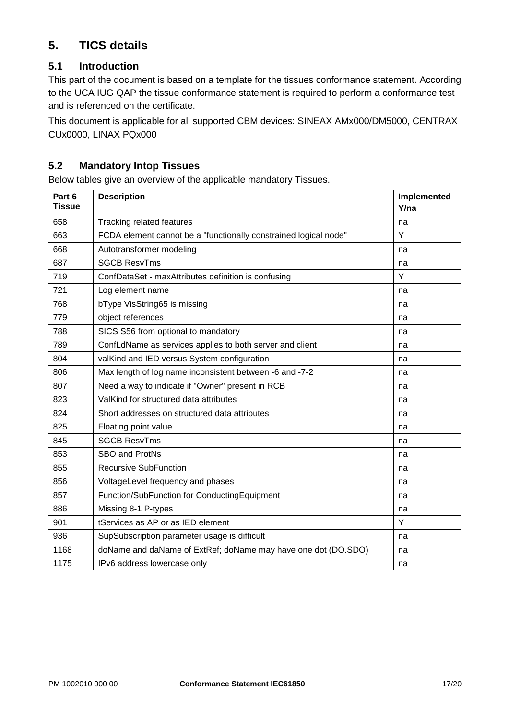# **5. TICS details**

## <span id="page-16-0"></span>**5.1 Introduction**

This part of the document is based on a template for the tissues conformance statement. According to the UCA IUG QAP the tissue conformance statement is required to perform a conformance test and is referenced on the certificate.

This document is applicable for all supported CBM devices: SINEAX AMx000/DM5000, CENTRAX CUx0000, LINAX PQx000

### <span id="page-16-1"></span>**5.2 Mandatory Intop Tissues**

Below tables give an overview of the applicable mandatory Tissues.

| Part 6<br><b>Tissue</b> | <b>Description</b>                                               | Implemented<br>Y/na |
|-------------------------|------------------------------------------------------------------|---------------------|
| 658                     | <b>Tracking related features</b>                                 | na                  |
| 663                     | FCDA element cannot be a "functionally constrained logical node" | Y                   |
| 668                     | Autotransformer modeling                                         | na                  |
| 687                     | <b>SGCB ResvTms</b>                                              | na                  |
| 719                     | ConfDataSet - maxAttributes definition is confusing              | Y                   |
| 721                     | Log element name                                                 | na                  |
| 768                     | bType VisString65 is missing                                     | na                  |
| 779                     | object references                                                | na                  |
| 788                     | SICS S56 from optional to mandatory                              | na                  |
| 789                     | ConfLdName as services applies to both server and client         | na                  |
| 804                     | valKind and IED versus System configuration                      | na                  |
| 806                     | Max length of log name inconsistent between -6 and -7-2          | na                  |
| 807                     | Need a way to indicate if "Owner" present in RCB                 | na                  |
| 823                     | ValKind for structured data attributes                           | na                  |
| 824                     | Short addresses on structured data attributes                    | na                  |
| 825                     | Floating point value                                             | na                  |
| 845                     | <b>SGCB ResvTms</b>                                              | na                  |
| 853                     | SBO and ProtNs                                                   | na                  |
| 855                     | <b>Recursive SubFunction</b>                                     | na                  |
| 856                     | VoltageLevel frequency and phases                                | na                  |
| 857                     | Function/SubFunction for ConductingEquipment                     | na                  |
| 886                     | Missing 8-1 P-types                                              | na                  |
| 901                     | tServices as AP or as IED element                                | Y                   |
| 936                     | SupSubscription parameter usage is difficult                     | na                  |
| 1168                    | doName and daName of ExtRef; doName may have one dot (DO.SDO)    | na                  |
| 1175                    | IPv6 address lowercase only                                      | na                  |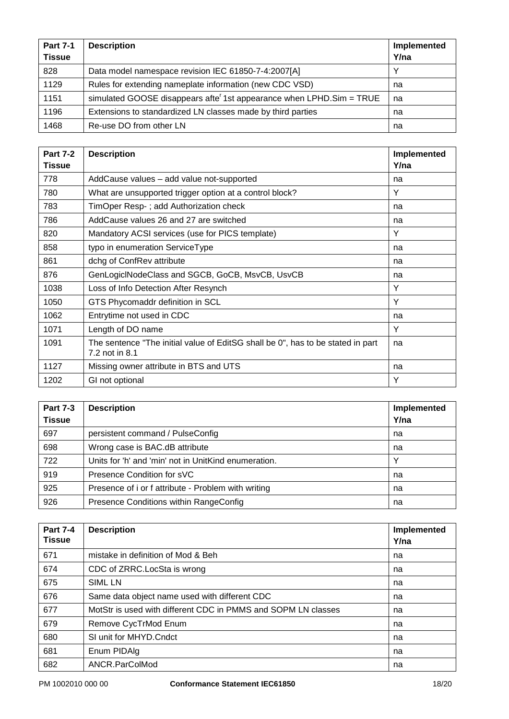| <b>Part 7-1</b><br><b>Tissue</b> | <b>Description</b>                                                                | Implemented<br>Y/na |
|----------------------------------|-----------------------------------------------------------------------------------|---------------------|
| 828                              | Data model namespace revision IEC 61850-7-4:2007[A]                               | $\checkmark$        |
| 1129                             | Rules for extending nameplate information (new CDC VSD)                           | na                  |
| 1151                             | simulated GOOSE disappears afte <sup>r</sup> 1st appearance when LPHD. Sim = TRUE | na                  |
| 1196                             | Extensions to standardized LN classes made by third parties                       | na                  |
| 1468                             | Re-use DO from other LN                                                           | na                  |

| <b>Part 7-2</b><br><b>Tissue</b> | <b>Description</b>                                                                                | Implemented<br>Y/na |
|----------------------------------|---------------------------------------------------------------------------------------------------|---------------------|
| 778                              | AddCause values - add value not-supported                                                         | na                  |
| 780                              | What are unsupported trigger option at a control block?                                           | Y                   |
| 783                              | TimOper Resp-; add Authorization check                                                            | na                  |
| 786                              | AddCause values 26 and 27 are switched                                                            | na                  |
| 820                              | Mandatory ACSI services (use for PICS template)                                                   | Y                   |
| 858                              | typo in enumeration ServiceType                                                                   | na                  |
| 861                              | dchg of ConfRev attribute                                                                         | na                  |
| 876                              | GenLogicINodeClass and SGCB, GoCB, MsvCB, UsvCB                                                   | na                  |
| 1038                             | Loss of Info Detection After Resynch                                                              | Y                   |
| 1050                             | GTS Phycomaddr definition in SCL                                                                  | Y                   |
| 1062                             | Entrytime not used in CDC                                                                         | na                  |
| 1071                             | Length of DO name                                                                                 | Y                   |
| 1091                             | The sentence "The initial value of EditSG shall be 0", has to be stated in part<br>7.2 not in 8.1 | na                  |
| 1127                             | Missing owner attribute in BTS and UTS                                                            | na                  |
| 1202                             | GI not optional                                                                                   | Y                   |

| <b>Part 7-3</b><br><b>Tissue</b> | <b>Description</b>                                   | Implemented<br>Y/na |
|----------------------------------|------------------------------------------------------|---------------------|
| 697                              | persistent command / PulseConfig                     | na                  |
| 698                              | Wrong case is BAC.dB attribute                       | na                  |
| 722                              | Units for 'h' and 'min' not in UnitKind enumeration. | $\checkmark$        |
| 919                              | Presence Condition for sVC                           | na                  |
| 925                              | Presence of i or f attribute - Problem with writing  | na                  |
| 926                              | Presence Conditions within RangeConfig               | na                  |

| <b>Part 7-4</b><br><b>Tissue</b> | <b>Description</b>                                            | Implemented<br>Y/na |
|----------------------------------|---------------------------------------------------------------|---------------------|
| 671                              | mistake in definition of Mod & Beh                            | na                  |
| 674                              | CDC of ZRRC. LocSta is wrong                                  | na                  |
| 675                              | <b>SIML LN</b>                                                | na                  |
| 676                              | Same data object name used with different CDC                 | na                  |
| 677                              | MotStr is used with different CDC in PMMS and SOPM LN classes | na                  |
| 679                              | Remove CycTrMod Enum                                          | na                  |
| 680                              | SI unit for MHYD. Cndct                                       | na                  |
| 681                              | Enum PIDAIg                                                   | na                  |
| 682                              | ANCR.ParColMod                                                | na                  |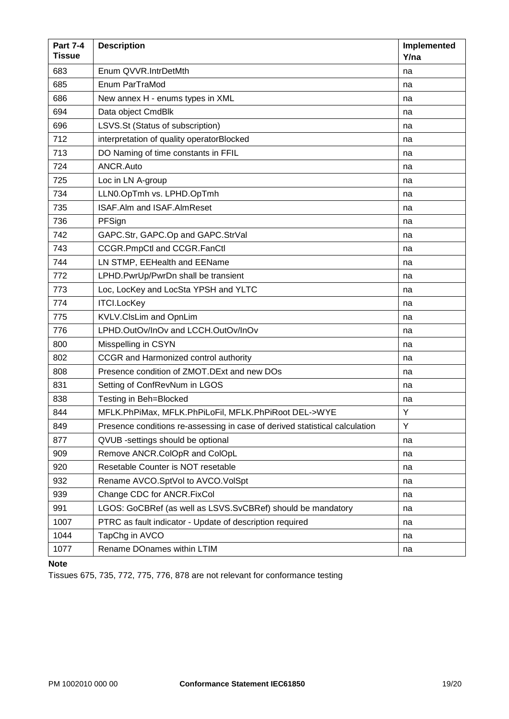| <b>Part 7-4</b><br><b>Tissue</b> | <b>Description</b>                                                          | Implemented<br>Y/na |
|----------------------------------|-----------------------------------------------------------------------------|---------------------|
| 683                              | Enum QVVR.IntrDetMth                                                        | na                  |
| 685                              | Enum ParTraMod                                                              | na                  |
| 686                              | New annex H - enums types in XML                                            | na                  |
| 694                              | Data object CmdBlk                                                          | na                  |
| 696                              | LSVS.St (Status of subscription)                                            | na                  |
| 712                              | interpretation of quality operatorBlocked                                   | na                  |
| 713                              | DO Naming of time constants in FFIL                                         | na                  |
| 724                              | ANCR.Auto                                                                   | na                  |
| 725                              | Loc in LN A-group                                                           | na                  |
| 734                              | LLN0.OpTmh vs. LPHD.OpTmh                                                   | na                  |
| 735                              | ISAF.Alm and ISAF.AlmReset                                                  | na                  |
| 736                              | PFSign                                                                      | na                  |
| 742                              | GAPC.Str, GAPC.Op and GAPC.StrVal                                           | na                  |
| 743                              | CCGR.PmpCtl and CCGR.FanCtl                                                 | na                  |
| 744                              | LN STMP, EEHealth and EEName                                                | na                  |
| 772                              | LPHD.PwrUp/PwrDn shall be transient                                         | na                  |
| 773                              | Loc, LocKey and LocSta YPSH and YLTC                                        | na                  |
| 774                              | ITCI.LocKey                                                                 | na                  |
| 775                              | KVLV.ClsLim and OpnLim                                                      | na                  |
| 776                              | LPHD.OutOv/InOv and LCCH.OutOv/InOv                                         | na                  |
| 800                              | Misspelling in CSYN                                                         | na                  |
| 802                              | CCGR and Harmonized control authority                                       | na                  |
| 808                              | Presence condition of ZMOT.DExt and new DOs                                 | na                  |
| 831                              | Setting of ConfRevNum in LGOS                                               | na                  |
| 838                              | Testing in Beh=Blocked                                                      | na                  |
| 844                              | MFLK.PhPiMax, MFLK.PhPiLoFil, MFLK.PhPiRoot DEL->WYE                        | Υ                   |
| 849                              | Presence conditions re-assessing in case of derived statistical calculation | Υ                   |
| 877                              | QVUB -settings should be optional                                           | na                  |
| 909                              | Remove ANCR.ColOpR and ColOpL                                               | na                  |
| 920                              | Resetable Counter is NOT resetable                                          | na                  |
| 932                              | Rename AVCO.SptVol to AVCO.VolSpt                                           | na                  |
| 939                              | Change CDC for ANCR.FixCol                                                  | na                  |
| 991                              | LGOS: GoCBRef (as well as LSVS.SvCBRef) should be mandatory                 | na                  |
| 1007                             | PTRC as fault indicator - Update of description required                    | na                  |
| 1044                             | TapChg in AVCO                                                              | na                  |
| 1077                             | Rename DOnames within LTIM                                                  | na                  |

#### **Note**

Tissues 675, 735, 772, 775, 776, 878 are not relevant for conformance testing